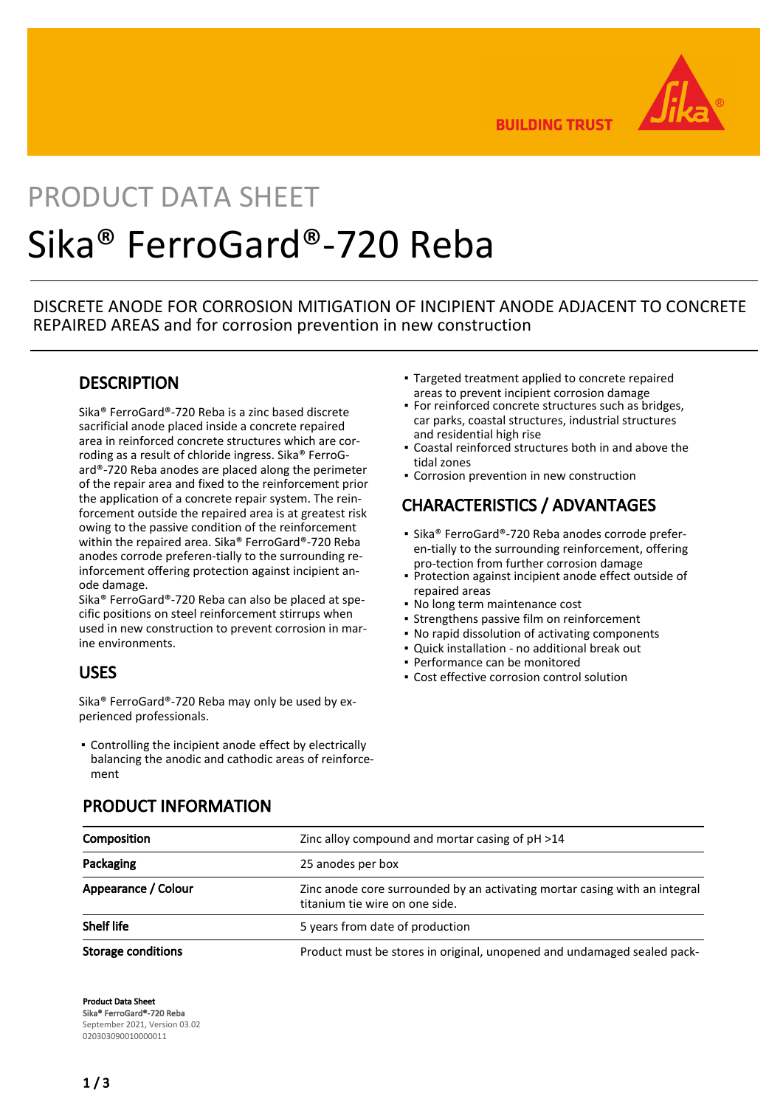

**BUILDING TRUST** 

# PRODUCT DATA SHEET Sika® FerroGard®-720 Reba

DISCRETE ANODE FOR CORROSION MITIGATION OF INCIPIENT ANODE ADJACENT TO CONCRETE REPAIRED AREAS and for corrosion prevention in new construction

## **DESCRIPTION**

Sika® FerroGard®-720 Reba is a zinc based discrete sacrificial anode placed inside a concrete repaired area in reinforced concrete structures which are corroding as a result of chloride ingress. Sika® FerroGard®-720 Reba anodes are placed along the perimeter of the repair area and fixed to the reinforcement prior the application of a concrete repair system. The reinforcement outside the repaired area is at greatest risk owing to the passive condition of the reinforcement within the repaired area. Sika® FerroGard®-720 Reba anodes corrode preferen-tially to the surrounding reinforcement offering protection against incipient anode damage.

Sika® FerroGard®-720 Reba can also be placed at specific positions on steel reinforcement stirrups when used in new construction to prevent corrosion in marine environments.

## USES

Sika® FerroGard®-720 Reba may only be used by experienced professionals.

Controlling the incipient anode effect by electrically ▪ balancing the anodic and cathodic areas of reinforcement

- Targeted treatment applied to concrete repaired areas to prevent incipient corrosion damage
- **For reinforced concrete structures such as bridges,** car parks, coastal structures, industrial structures and residential high rise
- Coastal reinforced structures both in and above the tidal zones
- **Corrosion prevention in new construction**

# CHARACTERISTICS / ADVANTAGES

- Sika® FerroGard®-720 Reba anodes corrode preferen-tially to the surrounding reinforcement, offering pro-tection from further corrosion damage
- Protection against incipient anode effect outside of repaired areas
- No long term maintenance cost
- **Strengthens passive film on reinforcement**
- No rapid dissolution of activating components
- Quick installation no additional break out
- Performance can be monitored
- Cost effective corrosion control solution

| Composition               | Zinc alloy compound and mortar casing of pH >14                                                              |  |
|---------------------------|--------------------------------------------------------------------------------------------------------------|--|
| Packaging                 | 25 anodes per box                                                                                            |  |
| Appearance / Colour       | Zinc anode core surrounded by an activating mortar casing with an integral<br>titanium tie wire on one side. |  |
| <b>Shelf life</b>         | 5 years from date of production                                                                              |  |
| <b>Storage conditions</b> | Product must be stores in original, unopened and undamaged sealed pack-                                      |  |

## PRODUCT INFORMATION

Product Data Sheet Sika® FerroGard®-720 Reba September 2021, Version 03.02 020303090010000011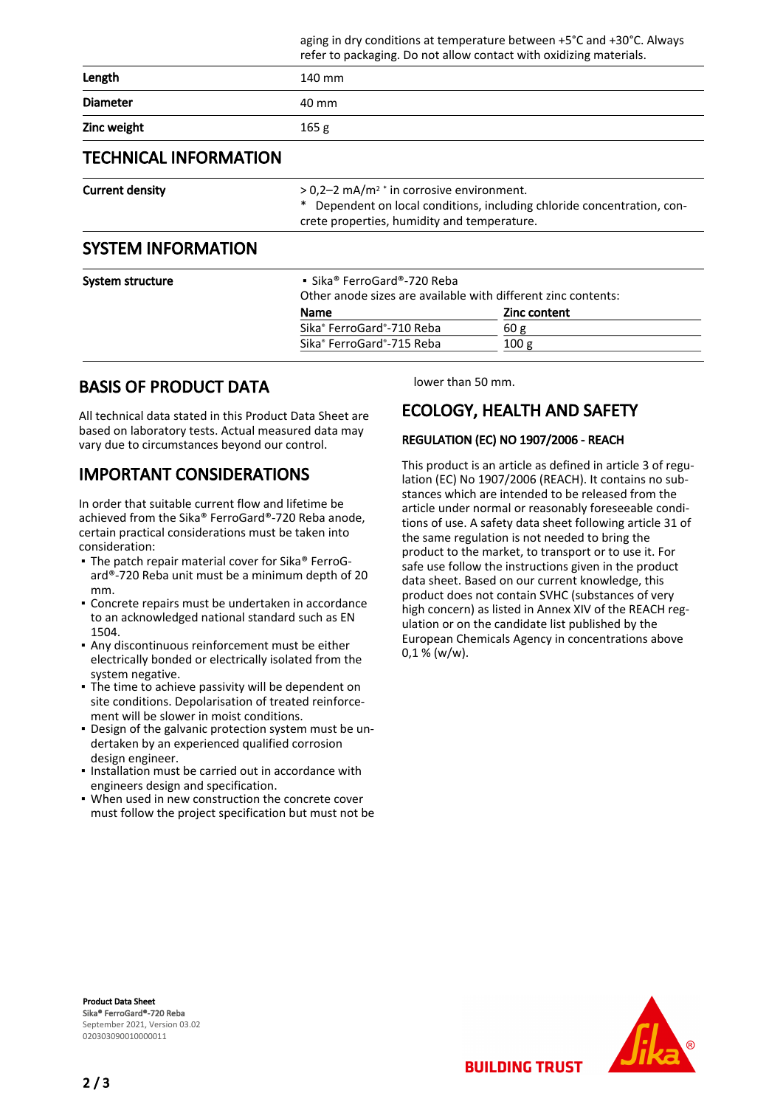|                              |                                                    | refer to packaging. Do not allow contact with oxidizing materials.                                                                                                                |  |  |
|------------------------------|----------------------------------------------------|-----------------------------------------------------------------------------------------------------------------------------------------------------------------------------------|--|--|
| Length                       | 140 mm                                             |                                                                                                                                                                                   |  |  |
| <b>Diameter</b>              | 40 mm                                              |                                                                                                                                                                                   |  |  |
| Zinc weight                  | 165 g                                              |                                                                                                                                                                                   |  |  |
| <b>TECHNICAL INFORMATION</b> |                                                    |                                                                                                                                                                                   |  |  |
| <b>Current density</b>       |                                                    | $> 0.2 - 2$ mA/m <sup>2</sup> * in corrosive environment.<br>Dependent on local conditions, including chloride concentration, con-<br>crete properties, humidity and temperature. |  |  |
| <b>SYSTEM INFORMATION</b>    |                                                    |                                                                                                                                                                                   |  |  |
| System structure             | • Sika® FerroGard®-720 Reba<br><b>Name</b>         | Other anode sizes are available with different zinc contents:<br><b>Zinc content</b>                                                                                              |  |  |
|                              | Sika <sup>®</sup> FerroGard <sup>®</sup> -710 Reba | 60 g                                                                                                                                                                              |  |  |
|                              | Sika <sup>®</sup> FerroGard <sup>®</sup> -715 Reba | 100 <sub>g</sub>                                                                                                                                                                  |  |  |

## BASIS OF PRODUCT DATA

All technical data stated in this Product Data Sheet are based on laboratory tests. Actual measured data may vary due to circumstances beyond our control.

## IMPORTANT CONSIDERATIONS

In order that suitable current flow and lifetime be achieved from the Sika® FerroGard®-720 Reba anode, certain practical considerations must be taken into consideration:

- The patch repair material cover for Sika® FerroGard®-720 Reba unit must be a minimum depth of 20 mm.
- **Concrete repairs must be undertaken in accordance** to an acknowledged national standard such as EN 1504.
- Any discontinuous reinforcement must be either electrically bonded or electrically isolated from the system negative.
- The time to achieve passivity will be dependent on site conditions. Depolarisation of treated reinforcement will be slower in moist conditions.
- Design of the galvanic protection system must be un-▪ dertaken by an experienced qualified corrosion design engineer.
- Installation must be carried out in accordance with engineers design and specification.
- When used in new construction the concrete cover must follow the project specification but must not be

lower than 50 mm.

aging in dry conditions at temperature between +5°C and +30°C. Always

# ECOLOGY, HEALTH AND SAFETY

### REGULATION (EC) NO 1907/2006 - REACH

This product is an article as defined in article 3 of regulation (EC) No 1907/2006 (REACH). It contains no substances which are intended to be released from the article under normal or reasonably foreseeable conditions of use. A safety data sheet following article 31 of the same regulation is not needed to bring the product to the market, to transport or to use it. For safe use follow the instructions given in the product data sheet. Based on our current knowledge, this product does not contain SVHC (substances of very high concern) as listed in Annex XIV of the REACH regulation or on the candidate list published by the European Chemicals Agency in concentrations above  $0,1 %$  (w/w).

**BUILDING TRUST** 

Product Data Sheet Sika® FerroGard®-720 Reba September 2021, Version 03.02 020303090010000011